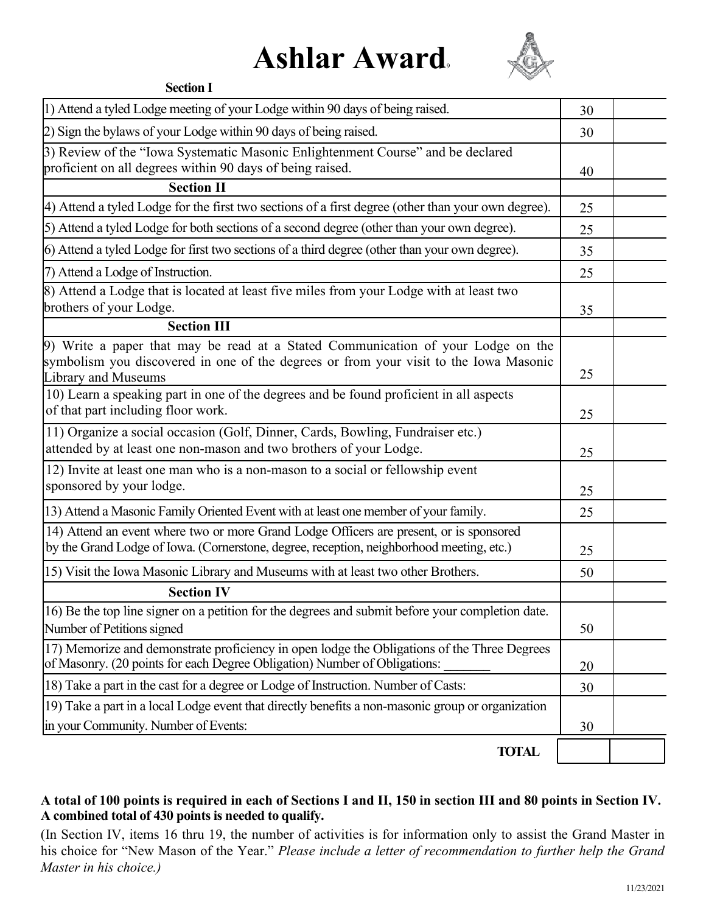## **Ashlar Award**<sup>9</sup>



| <b>Section I</b>                                                                                                                                                                                 |    |  |
|--------------------------------------------------------------------------------------------------------------------------------------------------------------------------------------------------|----|--|
| 1) Attend a tyled Lodge meeting of your Lodge within 90 days of being raised.                                                                                                                    | 30 |  |
| 2) Sign the bylaws of your Lodge within 90 days of being raised.                                                                                                                                 | 30 |  |
| 3) Review of the "Iowa Systematic Masonic Enlightenment Course" and be declared<br>proficient on all degrees within 90 days of being raised.                                                     | 40 |  |
| <b>Section II</b>                                                                                                                                                                                |    |  |
| 4) Attend a tyled Lodge for the first two sections of a first degree (other than your own degree).                                                                                               | 25 |  |
| 5) Attend a tyled Lodge for both sections of a second degree (other than your own degree).                                                                                                       | 25 |  |
| 6) Attend a tyled Lodge for first two sections of a third degree (other than your own degree).                                                                                                   | 35 |  |
| 7) Attend a Lodge of Instruction.                                                                                                                                                                | 25 |  |
| 8) Attend a Lodge that is located at least five miles from your Lodge with at least two<br>brothers of your Lodge.                                                                               | 35 |  |
| <b>Section III</b>                                                                                                                                                                               |    |  |
| 9) Write a paper that may be read at a Stated Communication of your Lodge on the<br>symbolism you discovered in one of the degrees or from your visit to the Iowa Masonic<br>Library and Museums | 25 |  |
| 10) Learn a speaking part in one of the degrees and be found proficient in all aspects<br>of that part including floor work.                                                                     | 25 |  |
| 11) Organize a social occasion (Golf, Dinner, Cards, Bowling, Fundraiser etc.)<br>attended by at least one non-mason and two brothers of your Lodge.                                             | 25 |  |
| 12) Invite at least one man who is a non-mason to a social or fellowship event<br>sponsored by your lodge.                                                                                       | 25 |  |
| 13) Attend a Masonic Family Oriented Event with at least one member of your family.                                                                                                              | 25 |  |
| 14) Attend an event where two or more Grand Lodge Officers are present, or is sponsored<br>by the Grand Lodge of Iowa. (Cornerstone, degree, reception, neighborhood meeting, etc.)              | 25 |  |
| 15) Visit the Iowa Masonic Library and Museums with at least two other Brothers.                                                                                                                 | 50 |  |
| <b>Section IV</b>                                                                                                                                                                                |    |  |
| 16) Be the top line signer on a petition for the degrees and submit before your completion date.<br>Number of Petitions signed                                                                   | 50 |  |
| 17) Memorize and demonstrate proficiency in open lodge the Obligations of the Three Degrees<br>of Masonry. (20 points for each Degree Obligation) Number of Obligations:                         | 20 |  |
| 18) Take a part in the cast for a degree or Lodge of Instruction. Number of Casts:                                                                                                               | 30 |  |
| 19) Take a part in a local Lodge event that directly benefits a non-masonic group or organization                                                                                                |    |  |
| in your Community. Number of Events:                                                                                                                                                             | 30 |  |
| <b>TOTAL</b>                                                                                                                                                                                     |    |  |

## **A total of 100 points is required in each of Sections I and II, 150 in section III and 80 points in Section IV. A combined total of 430 points is needed to qualify.**

(In Section IV, items 16 thru 19, the number of activities is for information only to assist the Grand Master in his choice for "New Mason of the Year." *Please include a letter of recommendation to further help the Grand Master in his choice.)*